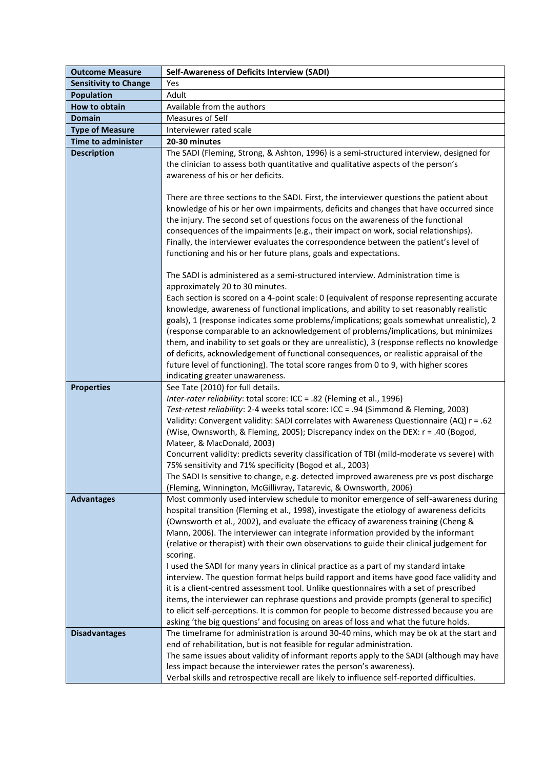| <b>Outcome Measure</b>       | <b>Self-Awareness of Deficits Interview (SADI)</b>                                                                                                                                |
|------------------------------|-----------------------------------------------------------------------------------------------------------------------------------------------------------------------------------|
| <b>Sensitivity to Change</b> | Yes                                                                                                                                                                               |
| <b>Population</b>            | Adult                                                                                                                                                                             |
| How to obtain                | Available from the authors                                                                                                                                                        |
| <b>Domain</b>                | Measures of Self                                                                                                                                                                  |
| <b>Type of Measure</b>       | Interviewer rated scale                                                                                                                                                           |
| <b>Time to administer</b>    | 20-30 minutes                                                                                                                                                                     |
| <b>Description</b>           | The SADI (Fleming, Strong, & Ashton, 1996) is a semi-structured interview, designed for                                                                                           |
|                              | the clinician to assess both quantitative and qualitative aspects of the person's                                                                                                 |
|                              | awareness of his or her deficits.                                                                                                                                                 |
|                              |                                                                                                                                                                                   |
|                              | There are three sections to the SADI. First, the interviewer questions the patient about                                                                                          |
|                              | knowledge of his or her own impairments, deficits and changes that have occurred since                                                                                            |
|                              | the injury. The second set of questions focus on the awareness of the functional                                                                                                  |
|                              | consequences of the impairments (e.g., their impact on work, social relationships).                                                                                               |
|                              | Finally, the interviewer evaluates the correspondence between the patient's level of                                                                                              |
|                              | functioning and his or her future plans, goals and expectations.                                                                                                                  |
|                              |                                                                                                                                                                                   |
|                              | The SADI is administered as a semi-structured interview. Administration time is                                                                                                   |
|                              | approximately 20 to 30 minutes.                                                                                                                                                   |
|                              | Each section is scored on a 4-point scale: 0 (equivalent of response representing accurate                                                                                        |
|                              | knowledge, awareness of functional implications, and ability to set reasonably realistic                                                                                          |
|                              | goals), 1 (response indicates some problems/implications; goals somewhat unrealistic), 2                                                                                          |
|                              | (response comparable to an acknowledgement of problems/implications, but minimizes                                                                                                |
|                              | them, and inability to set goals or they are unrealistic), 3 (response reflects no knowledge                                                                                      |
|                              | of deficits, acknowledgement of functional consequences, or realistic appraisal of the                                                                                            |
|                              | future level of functioning). The total score ranges from 0 to 9, with higher scores                                                                                              |
|                              | indicating greater unawareness.                                                                                                                                                   |
| <b>Properties</b>            | See Tate (2010) for full details.                                                                                                                                                 |
|                              | Inter-rater reliability: total score: ICC = .82 (Fleming et al., 1996)                                                                                                            |
|                              | Test-retest reliability: 2-4 weeks total score: ICC = .94 (Simmond & Fleming, 2003)                                                                                               |
|                              | Validity: Convergent validity: SADI correlates with Awareness Questionnaire (AQ) r = .62                                                                                          |
|                              | (Wise, Ownsworth, & Fleming, 2005); Discrepancy index on the DEX: r = .40 (Bogod,                                                                                                 |
|                              | Mateer, & MacDonald, 2003)                                                                                                                                                        |
|                              | Concurrent validity: predicts severity classification of TBI (mild-moderate vs severe) with                                                                                       |
|                              | 75% sensitivity and 71% specificity (Bogod et al., 2003)                                                                                                                          |
|                              | The SADI Is sensitive to change, e.g. detected improved awareness pre vs post discharge                                                                                           |
|                              | (Fleming, Winnington, McGillivray, Tatarevic, & Ownsworth, 2006)                                                                                                                  |
| <b>Advantages</b>            | Most commonly used interview schedule to monitor emergence of self-awareness during<br>hospital transition (Fleming et al., 1998), investigate the etiology of awareness deficits |
|                              | (Ownsworth et al., 2002), and evaluate the efficacy of awareness training (Cheng &                                                                                                |
|                              | Mann, 2006). The interviewer can integrate information provided by the informant                                                                                                  |
|                              | (relative or therapist) with their own observations to guide their clinical judgement for                                                                                         |
|                              | scoring.                                                                                                                                                                          |
|                              | I used the SADI for many years in clinical practice as a part of my standard intake                                                                                               |
|                              | interview. The question format helps build rapport and items have good face validity and                                                                                          |
|                              | it is a client-centred assessment tool. Unlike questionnaires with a set of prescribed                                                                                            |
|                              | items, the interviewer can rephrase questions and provide prompts (general to specific)                                                                                           |
|                              | to elicit self-perceptions. It is common for people to become distressed because you are                                                                                          |
|                              | asking 'the big questions' and focusing on areas of loss and what the future holds.                                                                                               |
| <b>Disadvantages</b>         | The timeframe for administration is around 30-40 mins, which may be ok at the start and                                                                                           |
|                              | end of rehabilitation, but is not feasible for regular administration.                                                                                                            |
|                              | The same issues about validity of informant reports apply to the SADI (although may have                                                                                          |
|                              | less impact because the interviewer rates the person's awareness).                                                                                                                |
|                              | Verbal skills and retrospective recall are likely to influence self-reported difficulties.                                                                                        |